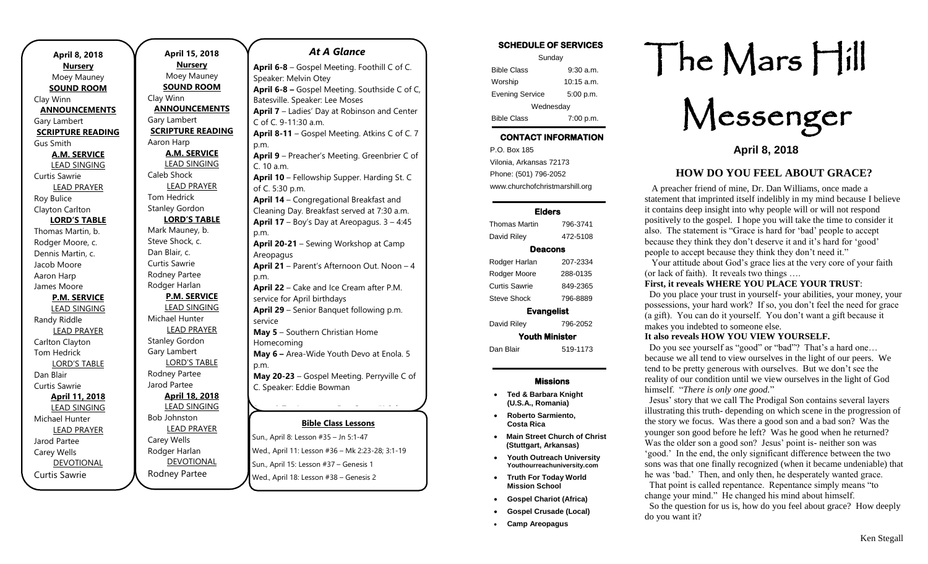| April 8, 2018                         |  |
|---------------------------------------|--|
| <b>Nursery</b>                        |  |
| Moey Mauney                           |  |
| <b>SOUND ROOM</b>                     |  |
| Clay Winn                             |  |
| <b>ANNOUNCEMENTS</b>                  |  |
| Gary Lambert                          |  |
| <b>SCRIPTURE READING</b><br>Gus Smith |  |
| <b>A.M. SERVICE</b>                   |  |
| LEAD SINGING                          |  |
| <b>Curtis Sawrie</b>                  |  |
| <b>LEAD PRAYER</b>                    |  |
| Roy Bulice                            |  |
| Clayton Carlton                       |  |
| <b>LORD'S TABLE</b>                   |  |
| Thomas Martin, b.                     |  |
| Rodger Moore, c.                      |  |
| Dennis Martin, c.                     |  |
| Jacob Moore                           |  |
| Aaron Harp                            |  |
| James Moore                           |  |
| <b>P.M. SERVICE</b>                   |  |
| <b>LEAD SINGING</b>                   |  |
| Randy Riddle                          |  |
| <b>LEAD PRAYER</b>                    |  |
| Carlton Clayton                       |  |
| <b>Tom Hedrick</b>                    |  |
| <b>LORD'S TABLE</b>                   |  |
| Dan Blair                             |  |
| Curtis Sawrie                         |  |
| April 11, 2018                        |  |
| <b>LEAD SINGING</b>                   |  |
| Michael Hunter                        |  |
| <b>LEAD PRAYER</b>                    |  |
| Jarod Partee                          |  |
| Carey Wells                           |  |
| <b>DEVOTIONAL</b>                     |  |
| Curtis Sawrie                         |  |

**April 15, 2018 Nursery** Moey Mauney **SOUND ROOM** Clay Winn **ANNOUNCEMENTS** Gary Lambert **SCRIPTURE READING** Aaron Harp **A.M. SERVICE** LEAD SINGING Caleb Shock LEAD PRAYER Tom Hedrick Stanley Gordon **LORD'S TABLE** Mark Mauney, b. Steve Shock, c. Dan Blair, c. Curtis Sawrie Rodney Partee Rodger Harlan **P.M. SERVICE** LEAD SINGING Michael Hunter LEAD PRAYER Stanley Gordon Gary Lambert LORD'S TABLE Rodney Partee Jarod Partee **April 18, 2018** LEAD SINGING Bob Johnston LEAD PRAYER Carey Wells Rodger Harlan DEVOTIONAL **April 6-8** – Gospel Meeting. Foothill C of C.

Rodney Partee

**Bible Class Lessons** Sun., April 8: Lesson #35 – Jn 5:1-47 **June 10-16** – Areopagus High School Session Wed., April 11: Lesson #36 – Mk 2:23-28; 3:1-19 Sun., April 15: Lesson #37 – Genesis 1 Speaker: Melvin Otey **April 6-8 –** Gospel Meeting. Southside C of C, Batesville. Speaker: Lee Moses **April 7** – Ladies' Day at Robinson and Center C of C. 9-11:30 a.m. **April 8-11** – Gospel Meeting. Atkins C of C. 7 p.m. **April 9** – Preacher's Meeting. Greenbrier C of C. 10 a.m. **April 10** – Fellowship Supper. Harding St. C of C. 5:30 p.m. **April 14** – Congregational Breakfast and Cleaning Day. Breakfast served at 7:30 a.m. **April 17** – Boy's Day at Areopagus. 3 – 4:45 p.m. **April 20-21** – Sewing Workshop at Camp Areopagus **April 21** – Parent's Afternoon Out. Noon – 4 p.m. **April 22** – Cake and Ice Cream after P.M. service for April birthdays **April 29** – Senior Banquet following p.m. service **May 5** – Southern Christian Home Homecoming **May 6 –** Area-Wide Youth Devo at Enola. 5 p.m. **May 20-23** – Gospel Meeting. Perryville C of C. Speaker: Eddie Bowman **June 4-7** – Areopagus Day Camp (K-3 of  $S$ um, April o. Lesson + 33 – 11 J. P47

*At A Glance* 

Wed., April 18: Lesson #38 – Genesis 2

-8

th Grade)

Session of Summer Camp (7th

rd

SCHEDULE OF SERVICES Sunday Bible Class 9:30 a.m. Worship 10:15 a.m. Evening Service 5:00 p.m. Wednesday Bible Class 7:00 p.m. CONTACT INFORMATION . .o. Box 166<br>Vilonia, Arkansas 72173 P.O. Box 185 Phone: (501) 796-2052 www.churchofchristmarshill.org Elders

# Thomas Martin 796-3741 David Riley 472-5108 Deacons Rodger Harlan 207-2334 Rodger Moore 288-0135 Curtis Sawrie 849-2365

Steve Shock 796-8889 Evangelist

David Riley 796-2052 Youth Minister

Dan Blair 519-1173

#### Missions

- **Ted & Barbara Knight (U.S.A., Romania)**
- **Roberto Sarmiento, Costa Rica**
- **Main Street Church of Christ (Stuttgart, Arkansas)**
- **Youth Outreach University Youthourreachuniversity.com**
- **Truth For Today World Mission School**
- **Gospel Chariot (Africa)**
- **Gospel Crusade (Local)**
- **Camp Areopagus**

# The Mars Hill

Messenger

**April 8, 2018**

## **HOW DO YOU FEEL ABOUT GRACE?**

 A preacher friend of mine, Dr. Dan Williams, once made a statement that imprinted itself indelibly in my mind because I believe it contains deep insight into why people will or will not respond positively to the gospel. I hope you will take the time to consider it also. The statement is "Grace is hard for 'bad' people to accept because they think they don't deserve it and it's hard for 'good' people to accept because they think they don't need it."

 Your attitude about God's grace lies at the very core of your faith (or lack of faith). It reveals two things ….

## **First, it reveals WHERE YOU PLACE YOUR TRUST**:

 Do you place your trust in yourself- your abilities, your money, your possessions, your hard work? If so, you don't feel the need for grace (a gift). You can do it yourself. You don't want a gift because it makes you indebted to someone else.

#### **It also reveals HOW YOU VIEW YOURSELF.**

 Do you see yourself as "good" or "bad"? That's a hard one… because we all tend to view ourselves in the light of our peers. We tend to be pretty generous with ourselves. But we don't see the reality of our condition until we view ourselves in the light of God himself. "*There is only one good.*"

 Jesus' story that we call The Prodigal Son contains several layers illustrating this truth- depending on which scene in the progression of the story we focus. Was there a good son and a bad son? Was the younger son good before he left? Was he good when he returned? Was the older son a good son? Jesus' point is- neither son was 'good.' In the end, the only significant difference between the two sons was that one finally recognized (when it became undeniable) that he was 'bad.' Then, and only then, he desperately wanted grace.

 That point is called repentance. Repentance simply means "to change your mind." He changed his mind about himself. So the question for us is, how do you feel about grace? How deeply do you want it?